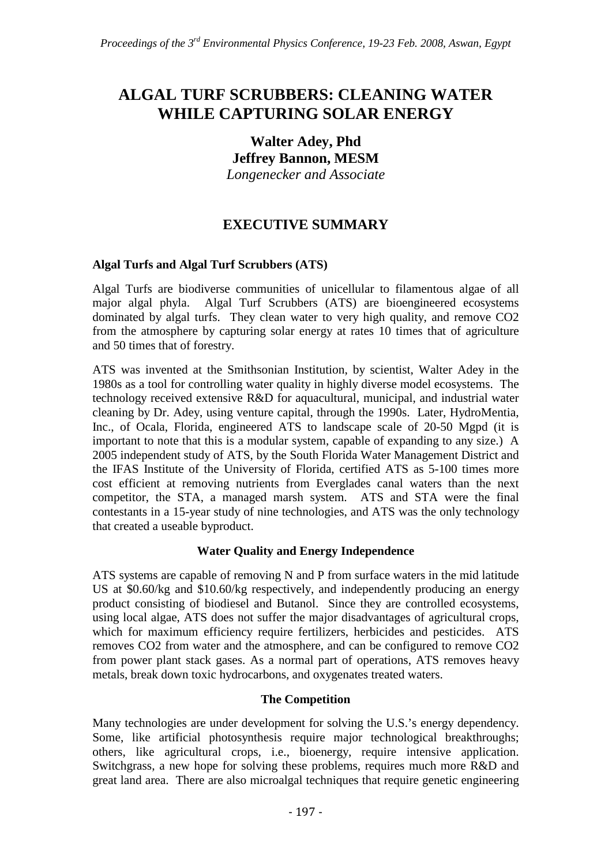# **ALGAL TURF SCRUBBERS: CLEANING WATER WHILE CAPTURING SOLAR ENERGY**

### **Walter Adey, Phd Jeffrey Bannon, MESM**  *Longenecker and Associate*

# **EXECUTIVE SUMMARY**

### **Algal Turfs and Algal Turf Scrubbers (ATS)**

Algal Turfs are biodiverse communities of unicellular to filamentous algae of all major algal phyla. Algal Turf Scrubbers (ATS) are bioengineered ecosystems dominated by algal turfs. They clean water to very high quality, and remove CO2 from the atmosphere by capturing solar energy at rates 10 times that of agriculture and 50 times that of forestry.

ATS was invented at the Smithsonian Institution, by scientist, Walter Adey in the 1980s as a tool for controlling water quality in highly diverse model ecosystems. The technology received extensive R&D for aquacultural, municipal, and industrial water cleaning by Dr. Adey, using venture capital, through the 1990s. Later, HydroMentia, Inc., of Ocala, Florida, engineered ATS to landscape scale of 20-50 Mgpd (it is important to note that this is a modular system, capable of expanding to any size.) A 2005 independent study of ATS, by the South Florida Water Management District and the IFAS Institute of the University of Florida, certified ATS as 5-100 times more cost efficient at removing nutrients from Everglades canal waters than the next competitor, the STA, a managed marsh system. ATS and STA were the final contestants in a 15-year study of nine technologies, and ATS was the only technology that created a useable byproduct.

### **Water Quality and Energy Independence**

ATS systems are capable of removing N and P from surface waters in the mid latitude US at \$0.60/kg and \$10.60/kg respectively, and independently producing an energy product consisting of biodiesel and Butanol. Since they are controlled ecosystems, using local algae, ATS does not suffer the major disadvantages of agricultural crops, which for maximum efficiency require fertilizers, herbicides and pesticides. ATS removes CO2 from water and the atmosphere, and can be configured to remove CO2 from power plant stack gases. As a normal part of operations, ATS removes heavy metals, break down toxic hydrocarbons, and oxygenates treated waters.

### **The Competition**

Many technologies are under development for solving the U.S.'s energy dependency. Some, like artificial photosynthesis require major technological breakthroughs; others, like agricultural crops, i.e., bioenergy, require intensive application. Switchgrass, a new hope for solving these problems, requires much more R&D and great land area. There are also microalgal techniques that require genetic engineering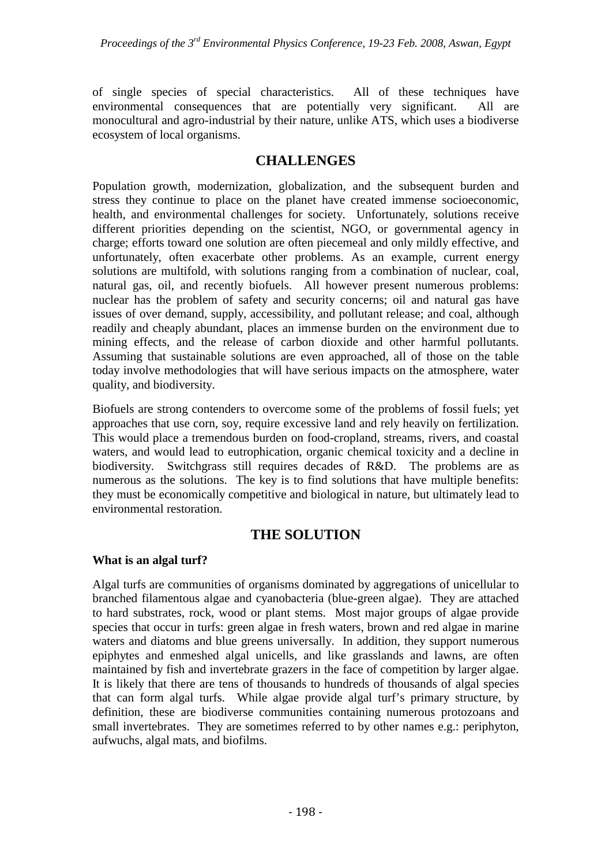of single species of special characteristics. All of these techniques have environmental consequences that are potentially very significant. All are monocultural and agro-industrial by their nature, unlike ATS, which uses a biodiverse ecosystem of local organisms.

## **CHALLENGES**

Population growth, modernization, globalization, and the subsequent burden and stress they continue to place on the planet have created immense socioeconomic, health, and environmental challenges for society. Unfortunately, solutions receive different priorities depending on the scientist, NGO, or governmental agency in charge; efforts toward one solution are often piecemeal and only mildly effective, and unfortunately, often exacerbate other problems. As an example, current energy solutions are multifold, with solutions ranging from a combination of nuclear, coal, natural gas, oil, and recently biofuels. All however present numerous problems: nuclear has the problem of safety and security concerns; oil and natural gas have issues of over demand, supply, accessibility, and pollutant release; and coal, although readily and cheaply abundant, places an immense burden on the environment due to mining effects, and the release of carbon dioxide and other harmful pollutants. Assuming that sustainable solutions are even approached, all of those on the table today involve methodologies that will have serious impacts on the atmosphere, water quality, and biodiversity.

Biofuels are strong contenders to overcome some of the problems of fossil fuels; yet approaches that use corn, soy, require excessive land and rely heavily on fertilization. This would place a tremendous burden on food-cropland, streams, rivers, and coastal waters, and would lead to eutrophication, organic chemical toxicity and a decline in biodiversity. Switchgrass still requires decades of R&D. The problems are as numerous as the solutions. The key is to find solutions that have multiple benefits: they must be economically competitive and biological in nature, but ultimately lead to environmental restoration.

## **THE SOLUTION**

### **What is an algal turf?**

Algal turfs are communities of organisms dominated by aggregations of unicellular to branched filamentous algae and cyanobacteria (blue-green algae). They are attached to hard substrates, rock, wood or plant stems. Most major groups of algae provide species that occur in turfs: green algae in fresh waters, brown and red algae in marine waters and diatoms and blue greens universally. In addition, they support numerous epiphytes and enmeshed algal unicells, and like grasslands and lawns, are often maintained by fish and invertebrate grazers in the face of competition by larger algae. It is likely that there are tens of thousands to hundreds of thousands of algal species that can form algal turfs. While algae provide algal turf's primary structure, by definition, these are biodiverse communities containing numerous protozoans and small invertebrates. They are sometimes referred to by other names e.g.: periphyton, aufwuchs, algal mats, and biofilms.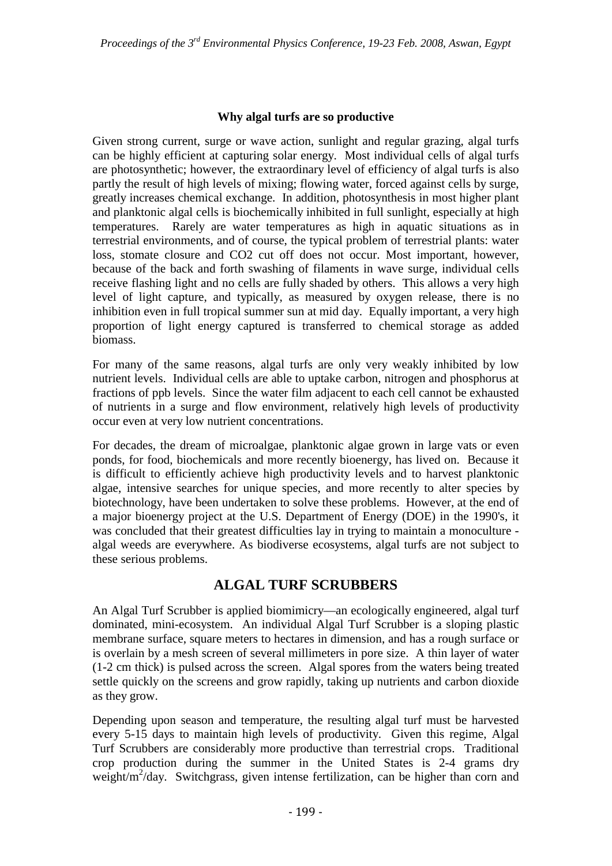#### **Why algal turfs are so productive**

Given strong current, surge or wave action, sunlight and regular grazing, algal turfs can be highly efficient at capturing solar energy. Most individual cells of algal turfs are photosynthetic; however, the extraordinary level of efficiency of algal turfs is also partly the result of high levels of mixing; flowing water, forced against cells by surge, greatly increases chemical exchange. In addition, photosynthesis in most higher plant and planktonic algal cells is biochemically inhibited in full sunlight, especially at high temperatures. Rarely are water temperatures as high in aquatic situations as in terrestrial environments, and of course, the typical problem of terrestrial plants: water loss, stomate closure and CO2 cut off does not occur. Most important, however, because of the back and forth swashing of filaments in wave surge, individual cells receive flashing light and no cells are fully shaded by others. This allows a very high level of light capture, and typically, as measured by oxygen release, there is no inhibition even in full tropical summer sun at mid day. Equally important, a very high proportion of light energy captured is transferred to chemical storage as added biomass.

For many of the same reasons, algal turfs are only very weakly inhibited by low nutrient levels. Individual cells are able to uptake carbon, nitrogen and phosphorus at fractions of ppb levels. Since the water film adjacent to each cell cannot be exhausted of nutrients in a surge and flow environment, relatively high levels of productivity occur even at very low nutrient concentrations.

For decades, the dream of microalgae, planktonic algae grown in large vats or even ponds, for food, biochemicals and more recently bioenergy, has lived on. Because it is difficult to efficiently achieve high productivity levels and to harvest planktonic algae, intensive searches for unique species, and more recently to alter species by biotechnology, have been undertaken to solve these problems. However, at the end of a major bioenergy project at the U.S. Department of Energy (DOE) in the 1990's, it was concluded that their greatest difficulties lay in trying to maintain a monoculture algal weeds are everywhere. As biodiverse ecosystems, algal turfs are not subject to these serious problems.

### **ALGAL TURF SCRUBBERS**

An Algal Turf Scrubber is applied biomimicry—an ecologically engineered, algal turf dominated, mini-ecosystem. An individual Algal Turf Scrubber is a sloping plastic membrane surface, square meters to hectares in dimension, and has a rough surface or is overlain by a mesh screen of several millimeters in pore size. A thin layer of water (1-2 cm thick) is pulsed across the screen. Algal spores from the waters being treated settle quickly on the screens and grow rapidly, taking up nutrients and carbon dioxide as they grow.

Depending upon season and temperature, the resulting algal turf must be harvested every 5-15 days to maintain high levels of productivity. Given this regime, Algal Turf Scrubbers are considerably more productive than terrestrial crops. Traditional crop production during the summer in the United States is 2-4 grams dry weight/m<sup>2</sup>/day. Switchgrass, given intense fertilization, can be higher than corn and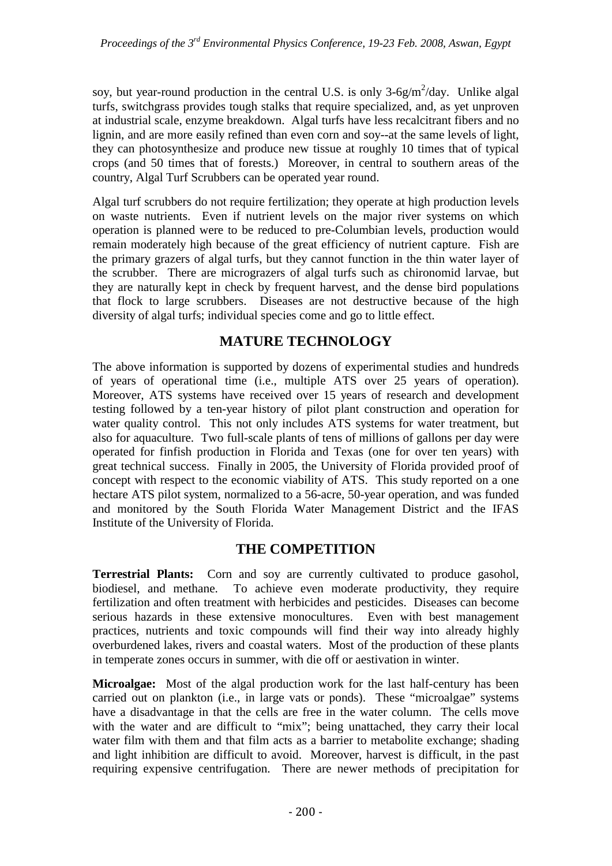soy, but year-round production in the central U.S. is only  $3-6g/m^2$ /day. Unlike algal turfs, switchgrass provides tough stalks that require specialized, and, as yet unproven at industrial scale, enzyme breakdown. Algal turfs have less recalcitrant fibers and no lignin, and are more easily refined than even corn and soy--at the same levels of light, they can photosynthesize and produce new tissue at roughly 10 times that of typical crops (and 50 times that of forests.) Moreover, in central to southern areas of the country, Algal Turf Scrubbers can be operated year round.

Algal turf scrubbers do not require fertilization; they operate at high production levels on waste nutrients. Even if nutrient levels on the major river systems on which operation is planned were to be reduced to pre-Columbian levels, production would remain moderately high because of the great efficiency of nutrient capture. Fish are the primary grazers of algal turfs, but they cannot function in the thin water layer of the scrubber. There are micrograzers of algal turfs such as chironomid larvae, but they are naturally kept in check by frequent harvest, and the dense bird populations that flock to large scrubbers. Diseases are not destructive because of the high diversity of algal turfs; individual species come and go to little effect.

# **MATURE TECHNOLOGY**

The above information is supported by dozens of experimental studies and hundreds of years of operational time (i.e., multiple ATS over 25 years of operation). Moreover, ATS systems have received over 15 years of research and development testing followed by a ten-year history of pilot plant construction and operation for water quality control. This not only includes ATS systems for water treatment, but also for aquaculture. Two full-scale plants of tens of millions of gallons per day were operated for finfish production in Florida and Texas (one for over ten years) with great technical success. Finally in 2005, the University of Florida provided proof of concept with respect to the economic viability of ATS. This study reported on a one hectare ATS pilot system, normalized to a 56-acre, 50-year operation, and was funded and monitored by the South Florida Water Management District and the IFAS Institute of the University of Florida.

## **THE COMPETITION**

**Terrestrial Plants:** Corn and soy are currently cultivated to produce gasohol, biodiesel, and methane. To achieve even moderate productivity, they require fertilization and often treatment with herbicides and pesticides. Diseases can become serious hazards in these extensive monocultures. Even with best management practices, nutrients and toxic compounds will find their way into already highly overburdened lakes, rivers and coastal waters. Most of the production of these plants in temperate zones occurs in summer, with die off or aestivation in winter.

**Microalgae:** Most of the algal production work for the last half-century has been carried out on plankton (i.e., in large vats or ponds). These "microalgae" systems have a disadvantage in that the cells are free in the water column. The cells move with the water and are difficult to "mix"; being unattached, they carry their local water film with them and that film acts as a barrier to metabolite exchange; shading and light inhibition are difficult to avoid. Moreover, harvest is difficult, in the past requiring expensive centrifugation. There are newer methods of precipitation for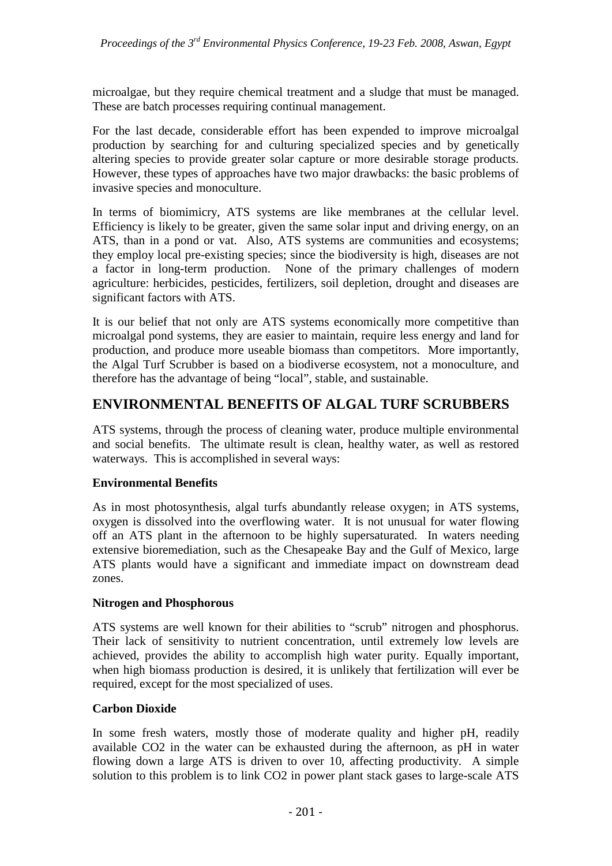microalgae, but they require chemical treatment and a sludge that must be managed. These are batch processes requiring continual management.

For the last decade, considerable effort has been expended to improve microalgal production by searching for and culturing specialized species and by genetically altering species to provide greater solar capture or more desirable storage products. However, these types of approaches have two major drawbacks: the basic problems of invasive species and monoculture.

In terms of biomimicry, ATS systems are like membranes at the cellular level. Efficiency is likely to be greater, given the same solar input and driving energy, on an ATS, than in a pond or vat. Also, ATS systems are communities and ecosystems; they employ local pre-existing species; since the biodiversity is high, diseases are not a factor in long-term production. None of the primary challenges of modern agriculture: herbicides, pesticides, fertilizers, soil depletion, drought and diseases are significant factors with ATS.

It is our belief that not only are ATS systems economically more competitive than microalgal pond systems, they are easier to maintain, require less energy and land for production, and produce more useable biomass than competitors. More importantly, the Algal Turf Scrubber is based on a biodiverse ecosystem, not a monoculture, and therefore has the advantage of being "local", stable, and sustainable.

## **ENVIRONMENTAL BENEFITS OF ALGAL TURF SCRUBBERS**

ATS systems, through the process of cleaning water, produce multiple environmental and social benefits. The ultimate result is clean, healthy water, as well as restored waterways. This is accomplished in several ways:

### **Environmental Benefits**

As in most photosynthesis, algal turfs abundantly release oxygen; in ATS systems, oxygen is dissolved into the overflowing water. It is not unusual for water flowing off an ATS plant in the afternoon to be highly supersaturated. In waters needing extensive bioremediation, such as the Chesapeake Bay and the Gulf of Mexico, large ATS plants would have a significant and immediate impact on downstream dead zones.

#### **Nitrogen and Phosphorous**

ATS systems are well known for their abilities to "scrub" nitrogen and phosphorus. Their lack of sensitivity to nutrient concentration, until extremely low levels are achieved, provides the ability to accomplish high water purity. Equally important, when high biomass production is desired, it is unlikely that fertilization will ever be required, except for the most specialized of uses.

#### **Carbon Dioxide**

In some fresh waters, mostly those of moderate quality and higher pH, readily available CO2 in the water can be exhausted during the afternoon, as pH in water flowing down a large ATS is driven to over 10, affecting productivity. A simple solution to this problem is to link CO2 in power plant stack gases to large-scale ATS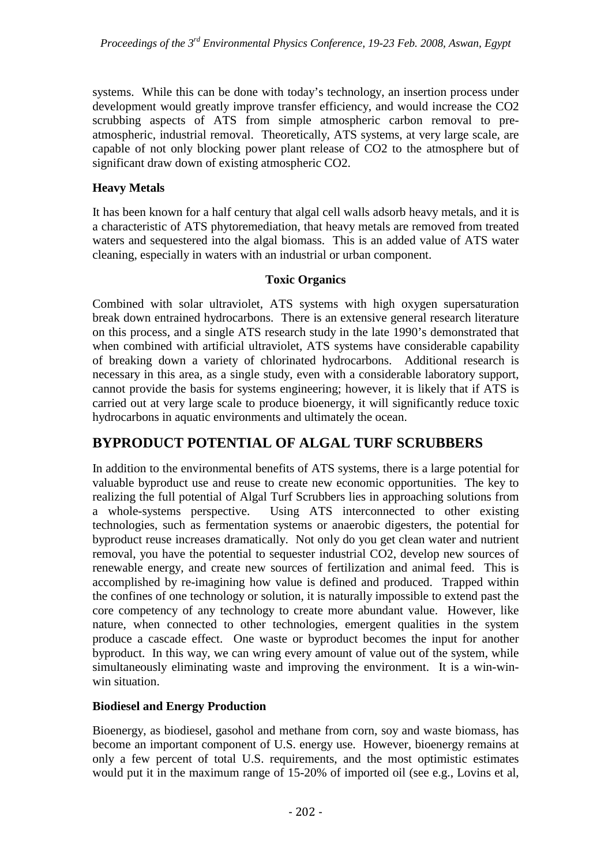systems. While this can be done with today's technology, an insertion process under development would greatly improve transfer efficiency, and would increase the CO2 scrubbing aspects of ATS from simple atmospheric carbon removal to preatmospheric, industrial removal. Theoretically, ATS systems, at very large scale, are capable of not only blocking power plant release of CO2 to the atmosphere but of significant draw down of existing atmospheric CO2.

### **Heavy Metals**

It has been known for a half century that algal cell walls adsorb heavy metals, and it is a characteristic of ATS phytoremediation, that heavy metals are removed from treated waters and sequestered into the algal biomass. This is an added value of ATS water cleaning, especially in waters with an industrial or urban component.

### **Toxic Organics**

Combined with solar ultraviolet, ATS systems with high oxygen supersaturation break down entrained hydrocarbons. There is an extensive general research literature on this process, and a single ATS research study in the late 1990's demonstrated that when combined with artificial ultraviolet, ATS systems have considerable capability of breaking down a variety of chlorinated hydrocarbons. Additional research is necessary in this area, as a single study, even with a considerable laboratory support, cannot provide the basis for systems engineering; however, it is likely that if ATS is carried out at very large scale to produce bioenergy, it will significantly reduce toxic hydrocarbons in aquatic environments and ultimately the ocean.

# **BYPRODUCT POTENTIAL OF ALGAL TURF SCRUBBERS**

In addition to the environmental benefits of ATS systems, there is a large potential for valuable byproduct use and reuse to create new economic opportunities. The key to realizing the full potential of Algal Turf Scrubbers lies in approaching solutions from a whole-systems perspective. Using ATS interconnected to other existing technologies, such as fermentation systems or anaerobic digesters, the potential for byproduct reuse increases dramatically. Not only do you get clean water and nutrient removal, you have the potential to sequester industrial CO2, develop new sources of renewable energy, and create new sources of fertilization and animal feed. This is accomplished by re-imagining how value is defined and produced. Trapped within the confines of one technology or solution, it is naturally impossible to extend past the core competency of any technology to create more abundant value. However, like nature, when connected to other technologies, emergent qualities in the system produce a cascade effect. One waste or byproduct becomes the input for another byproduct. In this way, we can wring every amount of value out of the system, while simultaneously eliminating waste and improving the environment. It is a win-winwin situation.

### **Biodiesel and Energy Production**

Bioenergy, as biodiesel, gasohol and methane from corn, soy and waste biomass, has become an important component of U.S. energy use. However, bioenergy remains at only a few percent of total U.S. requirements, and the most optimistic estimates would put it in the maximum range of 15-20% of imported oil (see e.g., Lovins et al,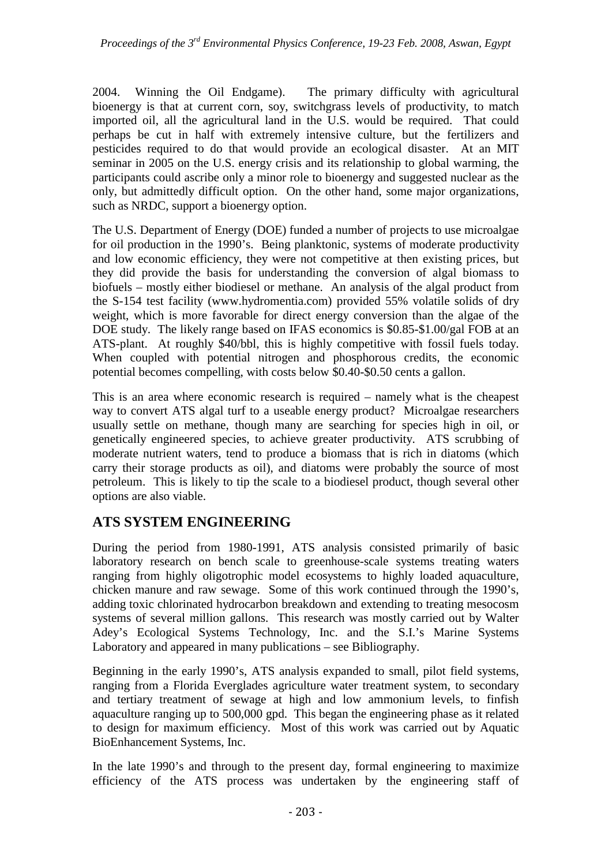2004. Winning the Oil Endgame). The primary difficulty with agricultural bioenergy is that at current corn, soy, switchgrass levels of productivity, to match imported oil, all the agricultural land in the U.S. would be required. That could perhaps be cut in half with extremely intensive culture, but the fertilizers and pesticides required to do that would provide an ecological disaster. At an MIT seminar in 2005 on the U.S. energy crisis and its relationship to global warming, the participants could ascribe only a minor role to bioenergy and suggested nuclear as the only, but admittedly difficult option. On the other hand, some major organizations, such as NRDC, support a bioenergy option.

The U.S. Department of Energy (DOE) funded a number of projects to use microalgae for oil production in the 1990's. Being planktonic, systems of moderate productivity and low economic efficiency, they were not competitive at then existing prices, but they did provide the basis for understanding the conversion of algal biomass to biofuels – mostly either biodiesel or methane. An analysis of the algal product from the S-154 test facility (www.hydromentia.com) provided 55% volatile solids of dry weight, which is more favorable for direct energy conversion than the algae of the DOE study. The likely range based on IFAS economics is \$0.85-\$1.00/gal FOB at an ATS-plant. At roughly \$40/bbl, this is highly competitive with fossil fuels today. When coupled with potential nitrogen and phosphorous credits, the economic potential becomes compelling, with costs below \$0.40-\$0.50 cents a gallon.

This is an area where economic research is required – namely what is the cheapest way to convert ATS algal turf to a useable energy product? Microalgae researchers usually settle on methane, though many are searching for species high in oil, or genetically engineered species, to achieve greater productivity. ATS scrubbing of moderate nutrient waters, tend to produce a biomass that is rich in diatoms (which carry their storage products as oil), and diatoms were probably the source of most petroleum. This is likely to tip the scale to a biodiesel product, though several other options are also viable.

# **ATS SYSTEM ENGINEERING**

During the period from 1980-1991, ATS analysis consisted primarily of basic laboratory research on bench scale to greenhouse-scale systems treating waters ranging from highly oligotrophic model ecosystems to highly loaded aquaculture, chicken manure and raw sewage. Some of this work continued through the 1990's, adding toxic chlorinated hydrocarbon breakdown and extending to treating mesocosm systems of several million gallons. This research was mostly carried out by Walter Adey's Ecological Systems Technology, Inc. and the S.I.'s Marine Systems Laboratory and appeared in many publications – see Bibliography.

Beginning in the early 1990's, ATS analysis expanded to small, pilot field systems, ranging from a Florida Everglades agriculture water treatment system, to secondary and tertiary treatment of sewage at high and low ammonium levels, to finfish aquaculture ranging up to 500,000 gpd. This began the engineering phase as it related to design for maximum efficiency. Most of this work was carried out by Aquatic BioEnhancement Systems, Inc.

In the late 1990's and through to the present day, formal engineering to maximize efficiency of the ATS process was undertaken by the engineering staff of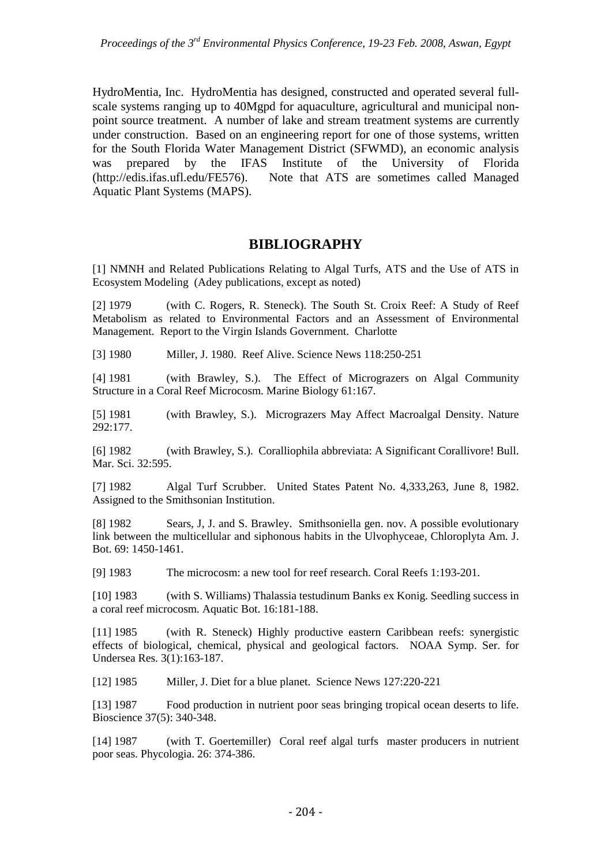HydroMentia, Inc. HydroMentia has designed, constructed and operated several fullscale systems ranging up to 40Mgpd for aquaculture, agricultural and municipal nonpoint source treatment. A number of lake and stream treatment systems are currently under construction. Based on an engineering report for one of those systems, written for the South Florida Water Management District (SFWMD), an economic analysis was prepared by the IFAS Institute of the University of Florida (http://edis.ifas.ufl.edu/FE576). Note that ATS are sometimes called Managed Aquatic Plant Systems (MAPS).

### **BIBLIOGRAPHY**

[1] NMNH and Related Publications Relating to Algal Turfs, ATS and the Use of ATS in Ecosystem Modeling (Adey publications, except as noted)

[2] 1979 (with C. Rogers, R. Steneck). The South St. Croix Reef: A Study of Reef Metabolism as related to Environmental Factors and an Assessment of Environmental Management. Report to the Virgin Islands Government. Charlotte

[3] 1980 Miller, J. 1980. Reef Alive. Science News 118:250-251

[4] 1981 (with Brawley, S.). The Effect of Micrograzers on Algal Community Structure in a Coral Reef Microcosm. Marine Biology 61:167.

[5] 1981 (with Brawley, S.). Micrograzers May Affect Macroalgal Density. Nature 292:177.

[6] 1982 (with Brawley, S.). Coralliophila abbreviata: A Significant Corallivore! Bull. Mar. Sci. 32:595.

[7] 1982 Algal Turf Scrubber. United States Patent No. 4,333,263, June 8, 1982. Assigned to the Smithsonian Institution.

[8] 1982 Sears, J, J. and S. Brawley. Smithsoniella gen. nov. A possible evolutionary link between the multicellular and siphonous habits in the Ulvophyceae, Chloroplyta Am. J. Bot.  $69 \cdot 1450 - 1461$ .

[9] 1983 The microcosm: a new tool for reef research. Coral Reefs 1:193-201.

[10] 1983 (with S. Williams) Thalassia testudinum Banks ex Konig. Seedling success in a coral reef microcosm. Aquatic Bot. 16:181-188.

[11] 1985 (with R. Steneck) Highly productive eastern Caribbean reefs: synergistic effects of biological, chemical, physical and geological factors. NOAA Symp. Ser. for Undersea Res. 3(1):163-187.

[12] 1985 Miller, J. Diet for a blue planet. Science News 127:220-221

[13] 1987 Food production in nutrient poor seas bringing tropical ocean deserts to life. Bioscience 37(5): 340-348.

[14] 1987 (with T. Goertemiller) Coral reef algal turfs master producers in nutrient poor seas. Phycologia. 26: 374-386.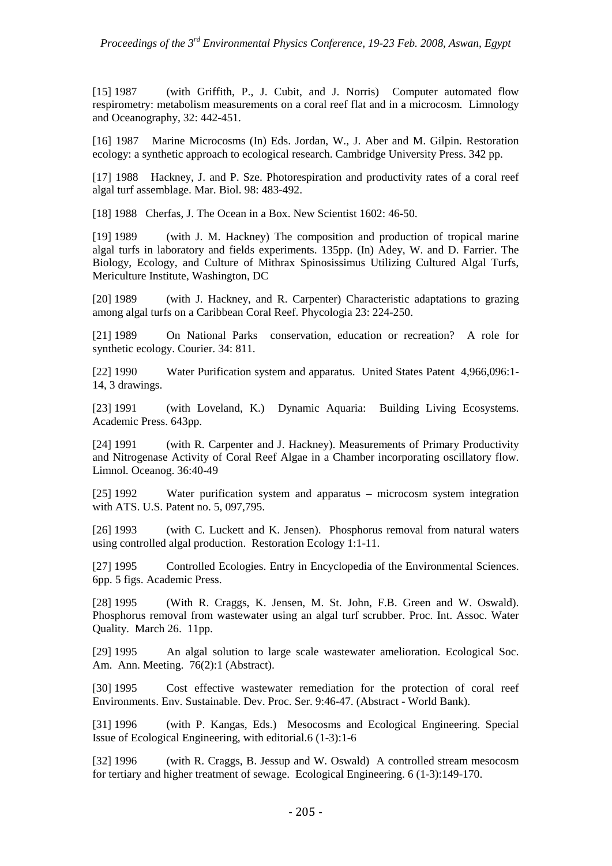[15] 1987 (with Griffith, P., J. Cubit, and J. Norris) Computer automated flow respirometry: metabolism measurements on a coral reef flat and in a microcosm. Limnology and Oceanography, 32: 442-451.

[16] 1987 Marine Microcosms (In) Eds. Jordan, W., J. Aber and M. Gilpin. Restoration ecology: a synthetic approach to ecological research. Cambridge University Press. 342 pp.

[17] 1988 Hackney, J. and P. Sze. Photorespiration and productivity rates of a coral reef algal turf assemblage. Mar. Biol. 98: 483-492.

[18] 1988 Cherfas, J. The Ocean in a Box. New Scientist 1602: 46-50.

[19] 1989 (with J. M. Hackney) The composition and production of tropical marine algal turfs in laboratory and fields experiments. 135pp. (In) Adey, W. and D. Farrier. The Biology, Ecology, and Culture of Mithrax Spinosissimus Utilizing Cultured Algal Turfs, Mericulture Institute, Washington, DC

[20] 1989 (with J. Hackney, and R. Carpenter) Characteristic adaptations to grazing among algal turfs on a Caribbean Coral Reef. Phycologia 23: 224-250.

[21] 1989 On National Parks conservation, education or recreation? A role for synthetic ecology. Courier. 34: 811.

[22] 1990 Water Purification system and apparatus. United States Patent 4,966,096:1- 14, 3 drawings.

[23] 1991 (with Loveland, K.) Dynamic Aquaria: Building Living Ecosystems. Academic Press. 643pp.

[24] 1991 (with R. Carpenter and J. Hackney). Measurements of Primary Productivity and Nitrogenase Activity of Coral Reef Algae in a Chamber incorporating oscillatory flow. Limnol. Oceanog. 36:40-49

[25] 1992 Water purification system and apparatus – microcosm system integration with ATS. U.S. Patent no. 5, 097,795.

[26] 1993 (with C. Luckett and K. Jensen). Phosphorus removal from natural waters using controlled algal production. Restoration Ecology 1:1-11.

[27] 1995 Controlled Ecologies. Entry in Encyclopedia of the Environmental Sciences. 6pp. 5 figs. Academic Press.

[28] 1995 (With R. Craggs, K. Jensen, M. St. John, F.B. Green and W. Oswald). Phosphorus removal from wastewater using an algal turf scrubber. Proc. Int. Assoc. Water Quality. March 26. 11pp.

[29] 1995 An algal solution to large scale wastewater amelioration. Ecological Soc. Am. Ann. Meeting. 76(2):1 (Abstract).

[30] 1995 Cost effective wastewater remediation for the protection of coral reef Environments. Env. Sustainable. Dev. Proc. Ser. 9:46-47. (Abstract - World Bank).

[31] 1996 (with P. Kangas, Eds.) Mesocosms and Ecological Engineering. Special Issue of Ecological Engineering, with editorial.6 (1-3):1-6

[32] 1996 (with R. Craggs, B. Jessup and W. Oswald) A controlled stream mesocosm for tertiary and higher treatment of sewage. Ecological Engineering. 6 (1-3):149-170.